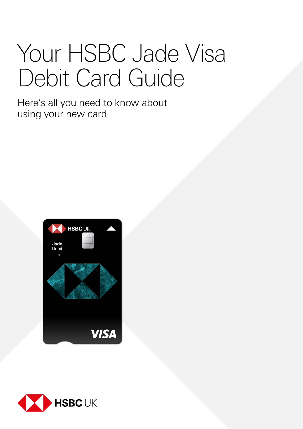# Your HSBC Jade Visa Debit Card Guide

Here's all you need to know about using your new card



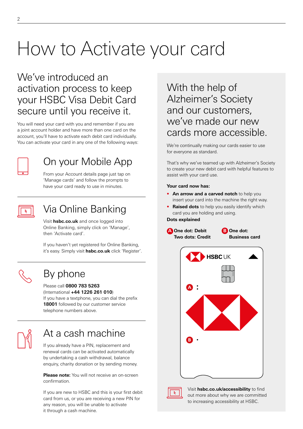# How to Activate your card

### We've introduced an activation process to keep your HSBC Visa Debit Card secure until you receive it.

You will need your card with you and remember if you are a joint account holder and have more than one card on the account, you'll have to activate each debit card individually. You can activate your card in any one of the following ways:



# On your Mobile App

From your Account details page just tap on 'Manage cards' and follow the prompts to have your card ready to use in minutes.



# Via Online Banking

Visit **[hsbc.co.uk](http://hsbc.co.uk)** and once logged into Online Banking, simply click on 'Manage', then 'Activate card'.

If you haven't yet registered for Online Banking, it's easy. Simply visit **[hsbc.co.uk](http://hsbc.co.uk)** click 'Register'.



## By phone

#### Please call **0800 783 5263**

(International **+44 1226 261 010**)

If you have a textphone, you can dial the prefix **18001** followed by our customer service telephone numbers above.

## At a cash machine

If you already have a PIN, replacement and renewal cards can be activated automatically by undertaking a cash withdrawal, balance enquiry, charity donation or by sending money.

**Please note:** You will not receive an on-screen confirmation.

If you are new to HSBC and this is your first debit card from us, or you are receiving a new PIN for any reason, you will be unable to activate it through a cash machine.

### With the help of Alzheimer's Society and our customers, we've made our new cards more accessible.

We're continually making our cards easier to use for everyone as standard.

That's why we've teamed up with Alzheimer's Society to create your new debit card with helpful features to assist with your card use.

#### **Your card now has:**

- **• An arrow and a carved notch** to help you insert your card into the machine the right way.
- **• Raised dots** to help you easily identify which card you are holding and using.

#### **Dots explained**



Visit **[hsbc.co.uk/accessibility](http://hsbc.co.uk/accessibility)** to find out more about why we are committed to increasing accessibility at HSBC.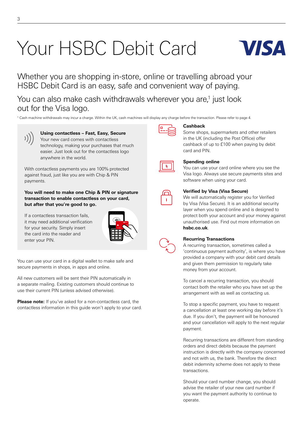# Your HSBC Debit Card



Whether you are shopping in-store, online or travelling abroad your HSBC Debit Card is an easy, safe and convenient way of paying.

You can also make cash withdrawals wherever you are,<sup>1</sup> just look out for the Visa logo.

1 Cash machine withdrawals may incur a charge. Within the UK, cash machines will display any charge before the transaction. Please refer to [page 4](#page-3-0).



**Using contactless – Fast, Easy, Secure** Your new card comes with contactless technology, making your purchases that much easier. Just look out for the contactless logo

With contactless payments you are 100% protected against fraud, just like you are with Chip & PIN payments.

anywhere in the world.

**You will need to make one Chip & PIN or signature transaction to enable contactless on your card, but after that you're good to go.** 

If a contactless transaction fails, it may need additional verification for your security. Simply insert the card into the reader and enter your PIN.



You can use your card in a digital wallet to make safe and secure payments in shops, in apps and online.

All new customers will be sent their PIN automatically in a separate mailing. Existing customers should continue to use their current PIN (unless advised otherwise).

**Please note:** If you've asked for a non-contactless card, the contactless information in this guide won't apply to your card.



#### **Cashback**

Some shops, supermarkets and other retailers in the UK (including the Post Office) offer cashback of up to £100 when paying by debit card and PIN.



#### **Spending online**

You can use your card online where you see the Visa logo. Always use secure payments sites and software when using your card.



#### **Verified by Visa (Visa Secure)**

We will automatically register you for Verified by Visa (Visa Secure). It is an additional security layer when you spend online and is designed to protect both your account and your money against unauthorised use. Find out more information on **[hsbc.co.uk](http://hsbc.co.uk)**.



#### **Recurring Transactions**

A recurring transaction, sometimes called a 'continuous payment authority', is where you have provided a company with your debit card details and given them permission to regularly take money from your account.

To cancel a recurring transaction, you should contact both the retailer who you have set up the arrangement with as well as contacting us.

To stop a specific payment, you have to request a cancellation at least one working day before it's due. If you don't, the payment will be honoured and your cancellation will apply to the next regular payment.

Recurring transactions are different from standing orders and direct debits because the payment instruction is directly with the company concerned and not with us, the bank. Therefore the direct debit indemnity scheme does not apply to these transactions.

Should your card number change, you should advise the retailer of your new card number if you want the payment authority to continue to operate.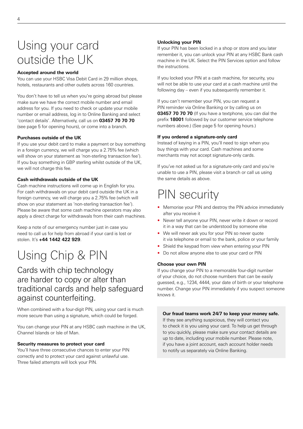# <span id="page-3-0"></span>Using your card outside the UK

#### **Accepted around the world**

You can use your HSBC Visa Debit Card in 29 million shops, hotels, restaurants and other outlets across 160 countries.

You don't have to tell us when you're going abroad but please make sure we have the correct mobile number and email address for you. If you need to check or update your mobile number or email address, log in to Online Banking and select 'contact details'. Alternatively, call us on **03457 70 70 70**  (see [page 5](#page-4-0) for opening hours), or come into a branch.

#### **Purchases outside of the UK**

If you use your debit card to make a payment or buy something in a foreign currency, we will charge you a 2.75% fee (which will show on your statement as 'non-sterling transaction fee'). If you buy something in GBP sterling whilst outside of the UK, we will not charge this fee.

#### **Cash withdrawals outside of the UK**

Cash machine instructions will come up in English for you. For cash withdrawals on your debit card outside the UK in a foreign currency, we will charge you a 2.75% fee (which will show on your statement as 'non-sterling transaction fee'). Please be aware that some cash machine operators may also apply a direct charge for withdrawals from their cash machines.

Keep a note of our emergency number just in case you need to call us for help from abroad if your card is lost or stolen. It's **+44 1442 422 929**.

# Using Chip & PIN

### Cards with chip technology are harder to copy or alter than traditional cards and help safeguard against counterfeiting.

When combined with a four-digit PIN, using your card is much more secure than using a signature, which could be forged.

You can change your PIN at any HSBC cash machine in the UK, Channel Islands or Isle of Man.

#### **Security measures to protect your card**

You'll have three consecutive chances to enter your PIN correctly and to protect your card against unlawful use. Three failed attempts will lock your PIN.

#### **Unlocking your PIN**

If your PIN has been locked in a shop or store and you later remember it, you can unlock your PIN at any HSBC Bank cash machine in the UK. Select the PIN Services option and follow the instructions.

If you locked your PIN at a cash machine, for security, you will not be able to use your card at a cash machine until the following day – even if you subsequently remember it.

If you can't remember your PIN, you can request a PIN reminder via Online Banking or by calling us on **03457 70 70 70** (If you have a textphone, you can dial the prefix **18001** followed by our customer service telephone numbers above.) (See [page 5](#page-4-0) for opening hours.)

#### **If you ordered a signature-only card**

Instead of keying in a PIN, you'll need to sign when you buy things with your card. Cash machines and some merchants may not accept signature-only cards.

If you've not asked us for a signature-only card and you're unable to use a PIN, please visit a branch or call us using the same details as above.

# PIN security

- Memorise your PIN and destroy the PIN advice immediately after you receive it
- Never tell anyone your PIN, never write it down or record it in a way that can be understood by someone else
- We will never ask you for your PIN so never quote it via telephone or email to the bank, police or your family
- Shield the keypad from view when entering your PIN
- Do not allow anyone else to use your card or PIN

#### **Choose your own PIN**

If you change your PIN to a memorable four-digit number of your choice, do not choose numbers that can be easily guessed, e.g., 1234, 4444, your date of birth or your telephone number. Change your PIN immediately if you suspect someone knows it.

**Our fraud teams work 24/7 to keep your money safe.** If they see anything suspicious, they will contact you to check it is you using your card. To help us get through to you quickly, please make sure your contact details are up to date, including your mobile number. Please note, if you have a joint account, each account holder needs to notify us separately via Online Banking.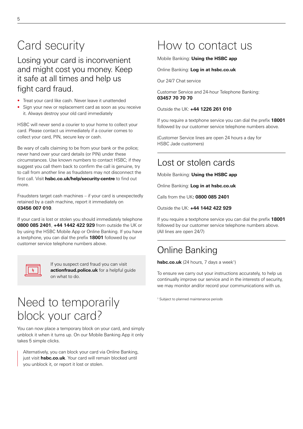# <span id="page-4-0"></span>Card security

Losing your card is inconvenient and might cost you money. Keep it safe at all times and help us fight card fraud.

- Treat your card like cash. Never leave it unattended
- Sign your new or replacement card as soon as you receive it. Always destroy your old card immediately

HSBC will never send a courier to your home to collect your card. Please contact us immediately if a courier comes to collect your card, PIN, secure key or cash.

Be wary of calls claiming to be from your bank or the police; never hand over your card details (or PIN) under these circumstances. Use known numbers to contact HSBC; if they suggest you call them back to confirm the call is genuine, try to call from another line as fraudsters may not disconnect the first call. Visit **[hsbc.co.uk/help/security-centre](http://www.hsbc.co.uk/help/security-centre)** to find out more.

Fraudsters target cash machines – if your card is unexpectedly retained by a cash machine, report it immediately on **03456 007 010**.

If your card is lost or stolen you should immediately telephone **0800 085 2401**, **+44 1442 422 929** from outside the UK or by using the HSBC Mobile App or Online Banking. If you have a textphone, you can dial the prefix **18001** followed by our customer service telephone numbers above.



If you suspect card fraud you can visit **[actionfraud.police.uk](http://actionfraud.police.uk)** for a helpful guide on what to do.

# Need to temporarily block your card?

You can now place a temporary block on your card, and simply unblock it when it turns up. On our Mobile Banking App it only takes 5 simple clicks.

Alternatively, you can block your card via Online Banking, just visit **[hsbc.co.uk](http://hsbc.co.uk)**. Your card will remain blocked until you unblock it, or report it lost or stolen.

# How to contact us

Mobile Banking: **Using the HSBC app**

Online Banking: **Log in at [hsbc.co.uk](http://hsbc.co.uk)**

Our 24/7 Chat service

Customer Service and 24-hour Telephone Banking: **03457 70 70 70**

Outside the UK: **+44 1226 261 010**

If you require a textphone service you can dial the prefix **18001** followed by our customer service telephone numbers above.

(Customer Service lines are open 24 hours a day for HSBC Jade customers)

### Lost or stolen cards

Mobile Banking: **Using the HSBC app**

Online Banking: **Log in at [hsbc.co.uk](http://hsbc.co.uk)**

Calls from the UK**: 0800 085 2401**

Outside the UK: **+44 1442 422 929**

If you require a textphone service you can dial the prefix **18001** followed by our customer service telephone numbers above. (All lines are open 24/7)

### Online Banking

**[hsbc.co.uk](http://hsbc.co.uk)** (24 hours, 7 days a week<sup>1</sup>)

To ensure we carry out your instructions accurately, to help us continually improve our service and in the interests of security, we may monitor and/or record your communications with us.

<sup>1</sup> Subject to planned maintenance periods